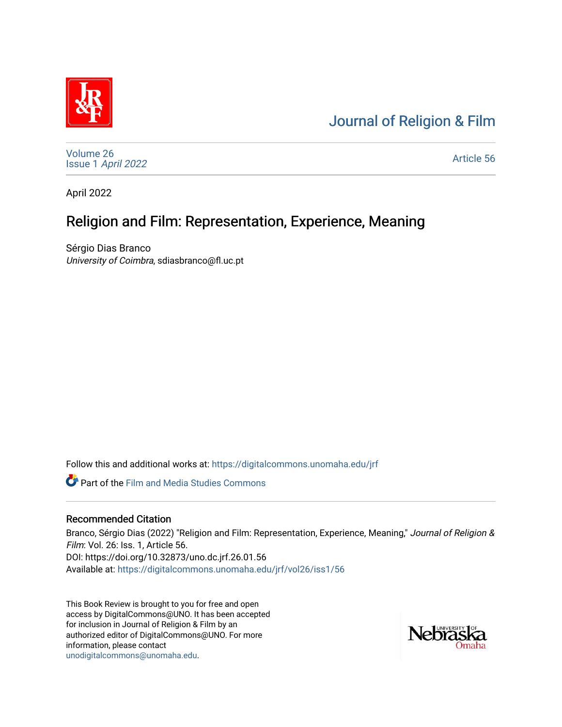# [Journal of Religion & Film](https://digitalcommons.unomaha.edu/jrf)



[Volume 26](https://digitalcommons.unomaha.edu/jrf/vol26) Issue 1 [April 2022](https://digitalcommons.unomaha.edu/jrf/vol26/iss1) 

[Article 56](https://digitalcommons.unomaha.edu/jrf/vol26/iss1/56) 

April 2022

# Religion and Film: Representation, Experience, Meaning

Sérgio Dias Branco University of Coimbra, sdiasbranco@fl.uc.pt

Follow this and additional works at: [https://digitalcommons.unomaha.edu/jrf](https://digitalcommons.unomaha.edu/jrf?utm_source=digitalcommons.unomaha.edu%2Fjrf%2Fvol26%2Fiss1%2F56&utm_medium=PDF&utm_campaign=PDFCoverPages)

Part of the [Film and Media Studies Commons](http://network.bepress.com/hgg/discipline/563?utm_source=digitalcommons.unomaha.edu%2Fjrf%2Fvol26%2Fiss1%2F56&utm_medium=PDF&utm_campaign=PDFCoverPages) 

## Recommended Citation

Branco, Sérgio Dias (2022) "Religion and Film: Representation, Experience, Meaning," Journal of Religion & Film: Vol. 26: Iss. 1, Article 56. DOI: https://doi.org/10.32873/uno.dc.jrf.26.01.56 Available at: [https://digitalcommons.unomaha.edu/jrf/vol26/iss1/56](https://digitalcommons.unomaha.edu/jrf/vol26/iss1/56?utm_source=digitalcommons.unomaha.edu%2Fjrf%2Fvol26%2Fiss1%2F56&utm_medium=PDF&utm_campaign=PDFCoverPages) 

This Book Review is brought to you for free and open access by DigitalCommons@UNO. It has been accepted for inclusion in Journal of Religion & Film by an authorized editor of DigitalCommons@UNO. For more information, please contact [unodigitalcommons@unomaha.edu.](mailto:unodigitalcommons@unomaha.edu)

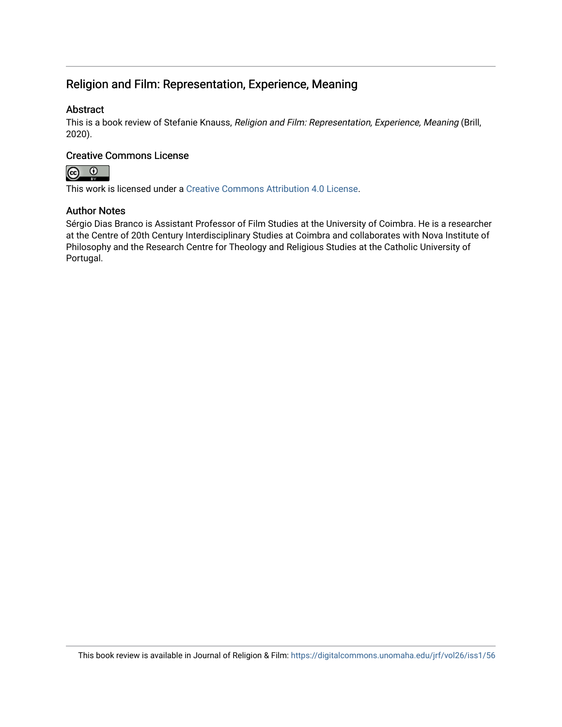# Religion and Film: Representation, Experience, Meaning

## Abstract

This is a book review of Stefanie Knauss, Religion and Film: Representation, Experience, Meaning (Brill, 2020).

### Creative Commons License



This work is licensed under a [Creative Commons Attribution 4.0 License](https://creativecommons.org/licenses/by/4.0/).

#### Author Notes

Sérgio Dias Branco is Assistant Professor of Film Studies at the University of Coimbra. He is a researcher at the Centre of 20th Century Interdisciplinary Studies at Coimbra and collaborates with Nova Institute of Philosophy and the Research Centre for Theology and Religious Studies at the Catholic University of Portugal.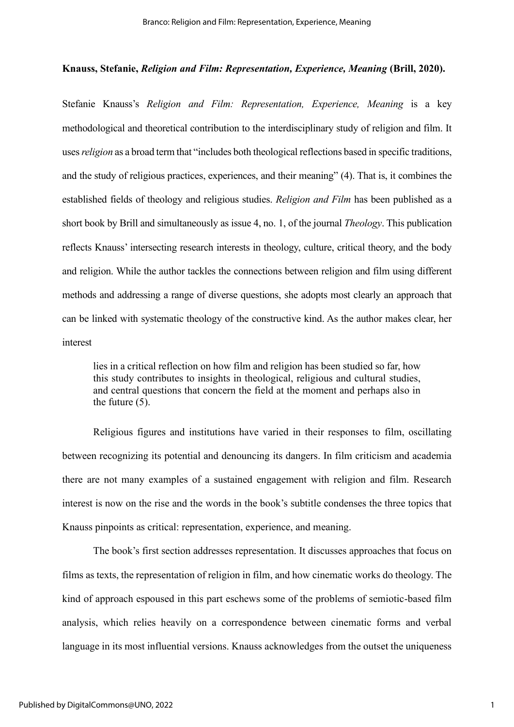#### **Knauss, Stefanie,** *Religion and Film: Representation, Experience, Meaning* **(Brill, 2020).**

Stefanie Knauss's *Religion and Film: Representation, Experience, Meaning* is a key methodological and theoretical contribution to the interdisciplinary study of religion and film. It uses *religion* as a broad term that "includes both theological reflections based in specific traditions, and the study of religious practices, experiences, and their meaning" (4). That is, it combines the established fields of theology and religious studies. *Religion and Film* has been published as a short book by Brill and simultaneously as issue 4, no. 1, of the journal *Theology*. This publication reflects Knauss' intersecting research interests in theology, culture, critical theory, and the body and religion. While the author tackles the connections between religion and film using different methods and addressing a range of diverse questions, she adopts most clearly an approach that can be linked with systematic theology of the constructive kind. As the author makes clear, her interest

lies in a critical reflection on how film and religion has been studied so far, how this study contributes to insights in theological, religious and cultural studies, and central questions that concern the field at the moment and perhaps also in the future (5).

Religious figures and institutions have varied in their responses to film, oscillating between recognizing its potential and denouncing its dangers. In film criticism and academia there are not many examples of a sustained engagement with religion and film. Research interest is now on the rise and the words in the book's subtitle condenses the three topics that Knauss pinpoints as critical: representation, experience, and meaning.

The book's first section addresses representation. It discusses approaches that focus on films as texts, the representation of religion in film, and how cinematic works do theology. The kind of approach espoused in this part eschews some of the problems of semiotic-based film analysis, which relies heavily on a correspondence between cinematic forms and verbal language in its most influential versions. Knauss acknowledges from the outset the uniqueness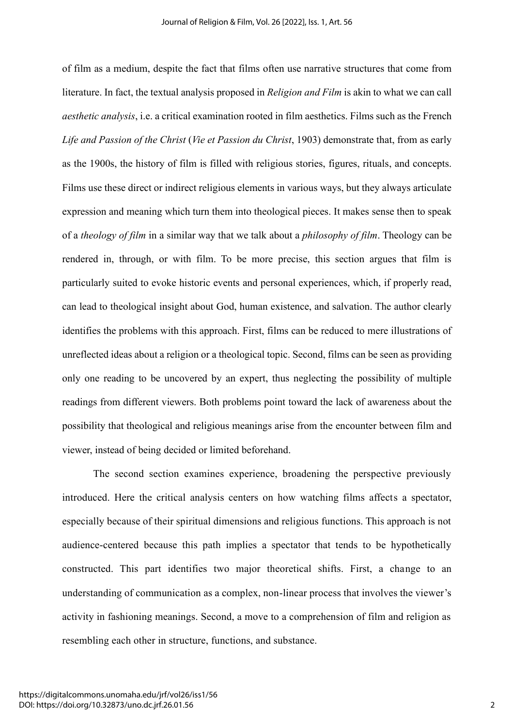of film as a medium, despite the fact that films often use narrative structures that come from literature. In fact, the textual analysis proposed in *Religion and Film* is akin to what we can call *aesthetic analysis*, i.e. a critical examination rooted in film aesthetics. Films such as the French *Life and Passion of the Christ* (*Vie et Passion du Christ*, 1903) demonstrate that, from as early as the 1900s, the history of film is filled with religious stories, figures, rituals, and concepts. Films use these direct or indirect religious elements in various ways, but they always articulate expression and meaning which turn them into theological pieces. It makes sense then to speak of a *theology of film* in a similar way that we talk about a *philosophy of film*. Theology can be rendered in, through, or with film. To be more precise, this section argues that film is particularly suited to evoke historic events and personal experiences, which, if properly read, can lead to theological insight about God, human existence, and salvation. The author clearly identifies the problems with this approach. First, films can be reduced to mere illustrations of unreflected ideas about a religion or a theological topic. Second, films can be seen as providing only one reading to be uncovered by an expert, thus neglecting the possibility of multiple readings from different viewers. Both problems point toward the lack of awareness about the possibility that theological and religious meanings arise from the encounter between film and viewer, instead of being decided or limited beforehand.

The second section examines experience, broadening the perspective previously introduced. Here the critical analysis centers on how watching films affects a spectator, especially because of their spiritual dimensions and religious functions. This approach is not audience-centered because this path implies a spectator that tends to be hypothetically constructed. This part identifies two major theoretical shifts. First, a change to an understanding of communication as a complex, non-linear process that involves the viewer's activity in fashioning meanings. Second, a move to a comprehension of film and religion as resembling each other in structure, functions, and substance.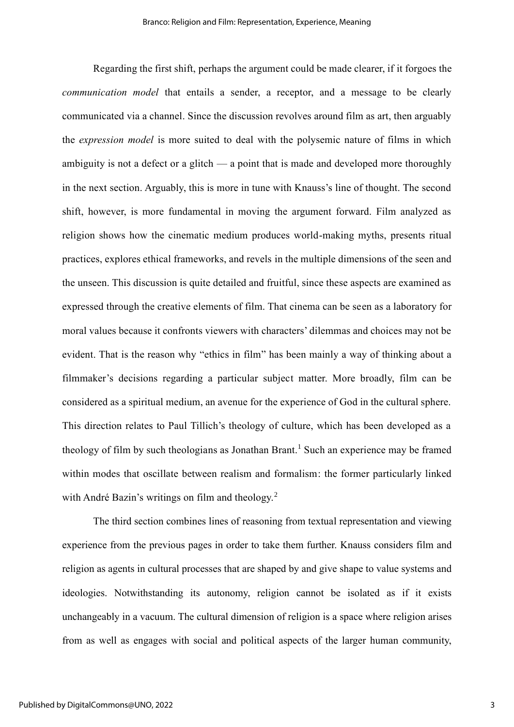Regarding the first shift, perhaps the argument could be made clearer, if it forgoes the *communication model* that entails a sender, a receptor, and a message to be clearly communicated via a channel. Since the discussion revolves around film as art, then arguably the *expression model* is more suited to deal with the polysemic nature of films in which ambiguity is not a defect or a glitch — a point that is made and developed more thoroughly in the next section. Arguably, this is more in tune with Knauss's line of thought. The second shift, however, is more fundamental in moving the argument forward. Film analyzed as religion shows how the cinematic medium produces world-making myths, presents ritual practices, explores ethical frameworks, and revels in the multiple dimensions of the seen and the unseen. This discussion is quite detailed and fruitful, since these aspects are examined as expressed through the creative elements of film. That cinema can be seen as a laboratory for moral values because it confronts viewers with characters' dilemmas and choices may not be evident. That is the reason why "ethics in film" has been mainly a way of thinking about a filmmaker's decisions regarding a particular subject matter. More broadly, film can be considered as a spiritual medium, an avenue for the experience of God in the cultural sphere. This direction relates to Paul Tillich's theology of culture, which has been developed as a theology of film by such theologians as Jonathan Brant.<sup>1</sup> Such an experience may be framed within modes that oscillate between realism and formalism: the former particularly linked with André Bazin's writings on film and theology.<sup>2</sup>

The third section combines lines of reasoning from textual representation and viewing experience from the previous pages in order to take them further. Knauss considers film and religion as agents in cultural processes that are shaped by and give shape to value systems and ideologies. Notwithstanding its autonomy, religion cannot be isolated as if it exists unchangeably in a vacuum. The cultural dimension of religion is a space where religion arises from as well as engages with social and political aspects of the larger human community,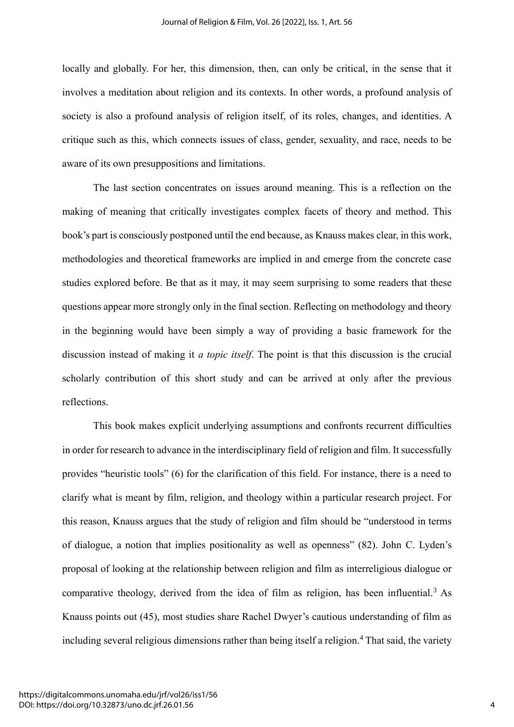locally and globally. For her, this dimension, then, can only be critical, in the sense that it involves a meditation about religion and its contexts. In other words, a profound analysis of society is also a profound analysis of religion itself, of its roles, changes, and identities. A critique such as this, which connects issues of class, gender, sexuality, and race, needs to be aware of its own presuppositions and limitations.

The last section concentrates on issues around meaning. This is a reflection on the making of meaning that critically investigates complex facets of theory and method. This book's part is consciously postponed until the end because, as Knauss makes clear, in this work, methodologies and theoretical frameworks are implied in and emerge from the concrete case studies explored before. Be that as it may, it may seem surprising to some readers that these questions appear more strongly only in the final section. Reflecting on methodology and theory in the beginning would have been simply a way of providing a basic framework for the discussion instead of making it *a topic itself*. The point is that this discussion is the crucial scholarly contribution of this short study and can be arrived at only after the previous reflections.

This book makes explicit underlying assumptions and confronts recurrent difficulties in order for research to advance in the interdisciplinary field of religion and film. It successfully provides "heuristic tools" (6) for the clarification of this field. For instance, there is a need to clarify what is meant by film, religion, and theology within a particular research project. For this reason, Knauss argues that the study of religion and film should be "understood in terms of dialogue, a notion that implies positionality as well as openness" (82). John C. Lyden's proposal of looking at the relationship between religion and film as interreligious dialogue or comparative theology, derived from the idea of film as religion, has been influential.<sup>3</sup> As Knauss points out (45), most studies share Rachel Dwyer's cautious understanding of film as including several religious dimensions rather than being itself a religion.<sup>4</sup> That said, the variety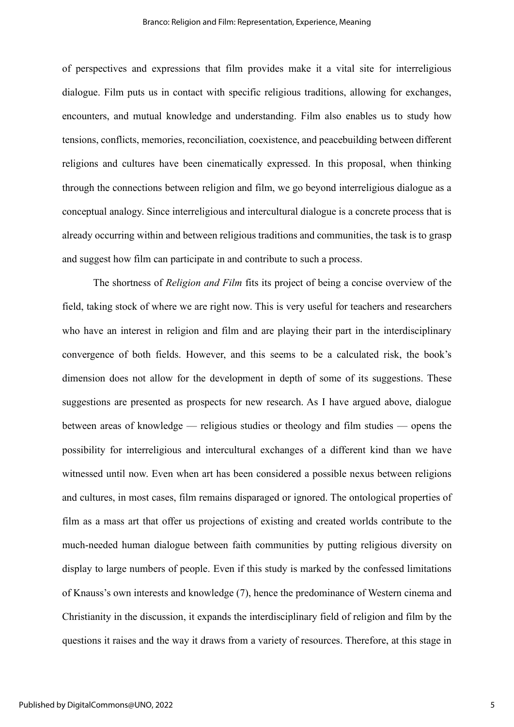of perspectives and expressions that film provides make it a vital site for interreligious dialogue. Film puts us in contact with specific religious traditions, allowing for exchanges, encounters, and mutual knowledge and understanding. Film also enables us to study how tensions, conflicts, memories, reconciliation, coexistence, and peacebuilding between different religions and cultures have been cinematically expressed. In this proposal, when thinking through the connections between religion and film, we go beyond interreligious dialogue as a conceptual analogy. Since interreligious and intercultural dialogue is a concrete process that is already occurring within and between religious traditions and communities, the task is to grasp and suggest how film can participate in and contribute to such a process.

The shortness of *Religion and Film* fits its project of being a concise overview of the field, taking stock of where we are right now. This is very useful for teachers and researchers who have an interest in religion and film and are playing their part in the interdisciplinary convergence of both fields. However, and this seems to be a calculated risk, the book's dimension does not allow for the development in depth of some of its suggestions. These suggestions are presented as prospects for new research. As I have argued above, dialogue between areas of knowledge — religious studies or theology and film studies — opens the possibility for interreligious and intercultural exchanges of a different kind than we have witnessed until now. Even when art has been considered a possible nexus between religions and cultures, in most cases, film remains disparaged or ignored. The ontological properties of film as a mass art that offer us projections of existing and created worlds contribute to the much-needed human dialogue between faith communities by putting religious diversity on display to large numbers of people. Even if this study is marked by the confessed limitations of Knauss's own interests and knowledge (7), hence the predominance of Western cinema and Christianity in the discussion, it expands the interdisciplinary field of religion and film by the questions it raises and the way it draws from a variety of resources. Therefore, at this stage in